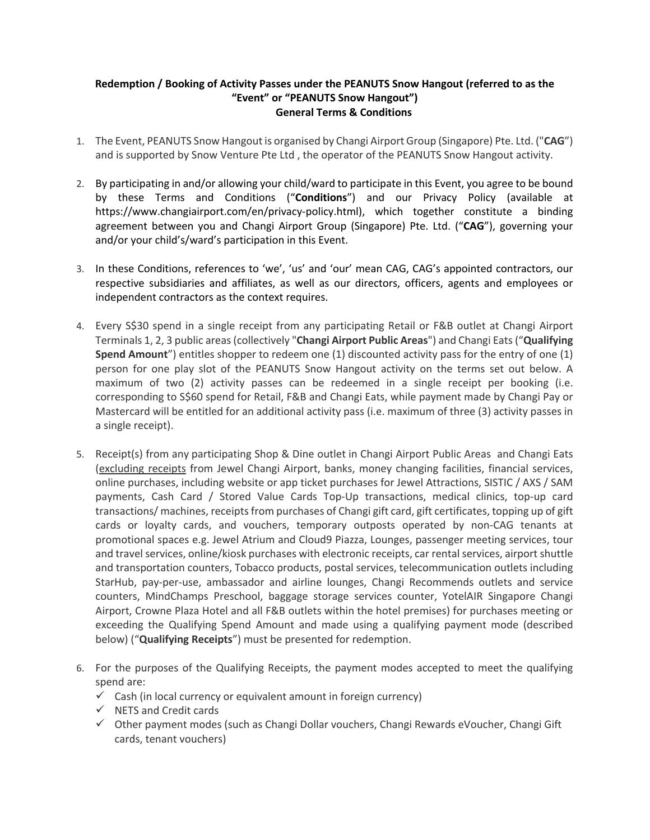## **Redemption / Booking of Activity Passes under the PEANUTS Snow Hangout (referred to as the "Event" or "PEANUTS Snow Hangout") General Terms & Conditions**

- 1. The Event, PEANUTS Snow Hangout is organised by Changi Airport Group (Singapore) Pte. Ltd. ("**CAG**") and is supported by Snow Venture Pte Ltd , the operator of the PEANUTS Snow Hangout activity.
- 2. By participating in and/or allowing your child/ward to participate in this Event, you agree to be bound by these Terms and Conditions ("**Conditions**") and our Privacy Policy (available at https://www.changiairport.com/en/privacy-policy.html), which together constitute a binding agreement between you and Changi Airport Group (Singapore) Pte. Ltd. ("**CAG**"), governing your and/or your child's/ward's participation in this Event.
- 3. In these Conditions, references to 'we', 'us' and 'our' mean CAG, CAG's appointed contractors, our respective subsidiaries and affiliates, as well as our directors, officers, agents and employees or independent contractors as the context requires.
- 4. Every S\$30 spend in a single receipt from any participating Retail or F&B outlet at Changi Airport Terminals 1, 2, 3 public areas(collectively "**Changi Airport Public Areas**") and Changi Eats ("**Qualifying Spend Amount**") entitles shopper to redeem one (1) discounted activity pass for the entry of one (1) person for one play slot of the PEANUTS Snow Hangout activity on the terms set out below. A maximum of two (2) activity passes can be redeemed in a single receipt per booking (i.e. corresponding to S\$60 spend for Retail, F&B and Changi Eats, while payment made by Changi Pay or Mastercard will be entitled for an additional activity pass (i.e. maximum of three (3) activity passes in a single receipt).
- 5. Receipt(s) from any participating Shop & Dine outlet in Changi Airport Public Areas and Changi Eats (excluding receipts from Jewel Changi Airport, banks, money changing facilities, financial services, online purchases, including website or app ticket purchases for Jewel Attractions, SISTIC / AXS / SAM payments, Cash Card / Stored Value Cards Top-Up transactions, medical clinics, top-up card transactions/ machines, receipts from purchases of Changi gift card, gift certificates, topping up of gift cards or loyalty cards, and vouchers, temporary outposts operated by non-CAG tenants at promotional spaces e.g. Jewel Atrium and Cloud9 Piazza, Lounges, passenger meeting services, tour and travel services, online/kiosk purchases with electronic receipts, car rental services, airport shuttle and transportation counters, Tobacco products, postal services, telecommunication outlets including StarHub, pay-per-use, ambassador and airline lounges, Changi Recommends outlets and service counters, MindChamps Preschool, baggage storage services counter, YotelAIR Singapore Changi Airport, Crowne Plaza Hotel and all F&B outlets within the hotel premises) for purchases meeting or exceeding the Qualifying Spend Amount and made using a qualifying payment mode (described below) ("**Qualifying Receipts**") must be presented for redemption.
- 6. For the purposes of the Qualifying Receipts, the payment modes accepted to meet the qualifying spend are:
	- $\checkmark$  Cash (in local currency or equivalent amount in foreign currency)
	- $\checkmark$  NETS and Credit cards
	- $\checkmark$  Other payment modes (such as Changi Dollar vouchers, Changi Rewards eVoucher, Changi Gift cards, tenant vouchers)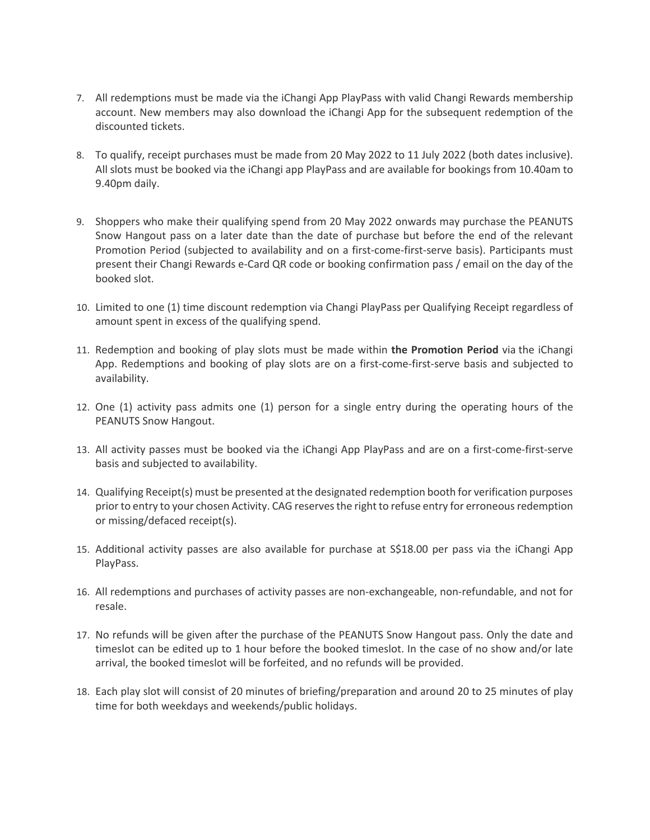- 7. All redemptions must be made via the iChangi App PlayPass with valid Changi Rewards membership account. New members may also download the iChangi App for the subsequent redemption of the discounted tickets.
- 8. To qualify, receipt purchases must be made from 20 May 2022 to 11 July 2022 (both dates inclusive). All slots must be booked via the iChangi app PlayPass and are available for bookings from 10.40am to 9.40pm daily.
- 9. Shoppers who make their qualifying spend from 20 May 2022 onwards may purchase the PEANUTS Snow Hangout pass on a later date than the date of purchase but before the end of the relevant Promotion Period (subjected to availability and on a first-come-first-serve basis). Participants must present their Changi Rewards e-Card QR code or booking confirmation pass / email on the day of the booked slot.
- 10. Limited to one (1) time discount redemption via Changi PlayPass per Qualifying Receipt regardless of amount spent in excess of the qualifying spend.
- 11. Redemption and booking of play slots must be made within **the Promotion Period** via the iChangi App. Redemptions and booking of play slots are on a first-come-first-serve basis and subjected to availability.
- 12. One (1) activity pass admits one (1) person for a single entry during the operating hours of the PEANUTS Snow Hangout.
- 13. All activity passes must be booked via the iChangi App PlayPass and are on a first-come-first-serve basis and subjected to availability.
- 14. Qualifying Receipt(s) must be presented at the designated redemption booth for verification purposes prior to entry to your chosen Activity. CAG reserves the right to refuse entry for erroneous redemption or missing/defaced receipt(s).
- 15. Additional activity passes are also available for purchase at S\$18.00 per pass via the iChangi App PlayPass.
- 16. All redemptions and purchases of activity passes are non-exchangeable, non-refundable, and not for resale.
- 17. No refunds will be given after the purchase of the PEANUTS Snow Hangout pass. Only the date and timeslot can be edited up to 1 hour before the booked timeslot. In the case of no show and/or late arrival, the booked timeslot will be forfeited, and no refunds will be provided.
- 18. Each play slot will consist of 20 minutes of briefing/preparation and around 20 to 25 minutes of play time for both weekdays and weekends/public holidays.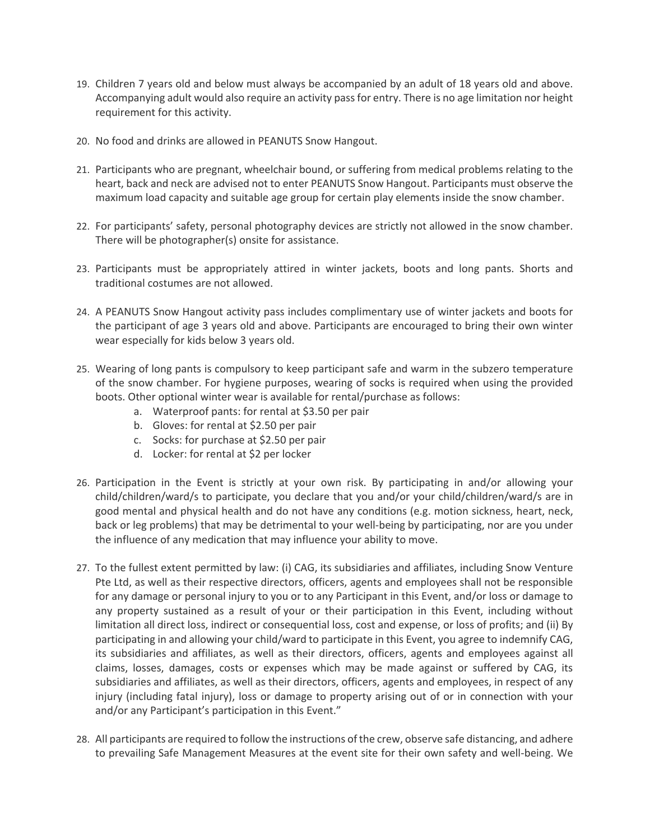- 19. Children 7 years old and below must always be accompanied by an adult of 18 years old and above. Accompanying adult would also require an activity pass for entry. There is no age limitation nor height requirement for this activity.
- 20. No food and drinks are allowed in PEANUTS Snow Hangout.
- 21. Participants who are pregnant, wheelchair bound, or suffering from medical problems relating to the heart, back and neck are advised not to enter PEANUTS Snow Hangout. Participants must observe the maximum load capacity and suitable age group for certain play elements inside the snow chamber.
- 22. For participants' safety, personal photography devices are strictly not allowed in the snow chamber. There will be photographer(s) onsite for assistance.
- 23. Participants must be appropriately attired in winter jackets, boots and long pants. Shorts and traditional costumes are not allowed.
- 24. A PEANUTS Snow Hangout activity pass includes complimentary use of winter jackets and boots for the participant of age 3 years old and above. Participants are encouraged to bring their own winter wear especially for kids below 3 years old.
- 25. Wearing of long pants is compulsory to keep participant safe and warm in the subzero temperature of the snow chamber. For hygiene purposes, wearing of socks is required when using the provided boots. Other optional winter wear is available for rental/purchase as follows:
	- a. Waterproof pants: for rental at \$3.50 per pair
	- b. Gloves: for rental at \$2.50 per pair
	- c. Socks: for purchase at \$2.50 per pair
	- d. Locker: for rental at \$2 per locker
- 26. Participation in the Event is strictly at your own risk. By participating in and/or allowing your child/children/ward/s to participate, you declare that you and/or your child/children/ward/s are in good mental and physical health and do not have any conditions (e.g. motion sickness, heart, neck, back or leg problems) that may be detrimental to your well-being by participating, nor are you under the influence of any medication that may influence your ability to move.
- 27. To the fullest extent permitted by law: (i) CAG, its subsidiaries and affiliates, including Snow Venture Pte Ltd, as well as their respective directors, officers, agents and employees shall not be responsible for any damage or personal injury to you or to any Participant in this Event, and/or loss or damage to any property sustained as a result of your or their participation in this Event, including without limitation all direct loss, indirect or consequential loss, cost and expense, or loss of profits; and (ii) By participating in and allowing your child/ward to participate in this Event, you agree to indemnify CAG, its subsidiaries and affiliates, as well as their directors, officers, agents and employees against all claims, losses, damages, costs or expenses which may be made against or suffered by CAG, its subsidiaries and affiliates, as well as their directors, officers, agents and employees, in respect of any injury (including fatal injury), loss or damage to property arising out of or in connection with your and/or any Participant's participation in this Event."
- 28. All participants are required to follow the instructions of the crew, observe safe distancing, and adhere to prevailing Safe Management Measures at the event site for their own safety and well-being. We